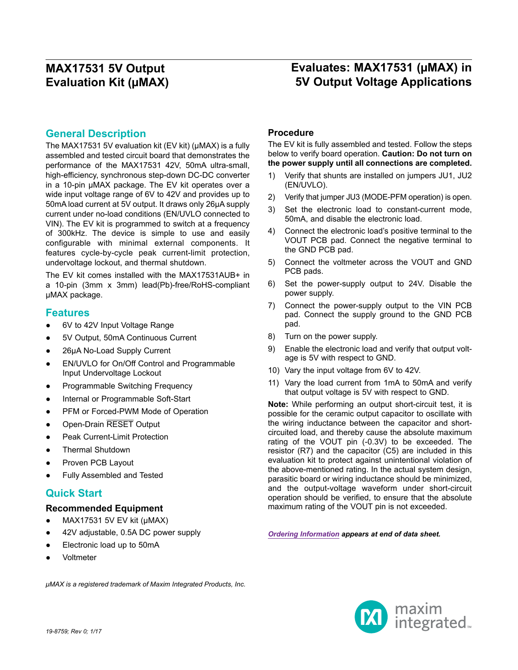## **Evaluates: MAX17531 (µMAX) in 5V Output Voltage Applications**

### **General Description**

The MAX17531 5V evaluation kit (EV kit) (µMAX) is a fully assembled and tested circuit board that demonstrates the performance of the MAX17531 42V, 50mA ultra-small, high-efficiency, synchronous step-down DC-DC converter in a 10-pin µMAX package. The EV kit operates over a wide input voltage range of 6V to 42V and provides up to 50mA load current at 5V output. It draws only 26µA supply current under no-load conditions (EN/UVLO connected to VIN). The EV kit is programmed to switch at a frequency of 300kHz. The device is simple to use and easily configurable with minimal external components. It features cycle-by-cycle peak current-limit protection, undervoltage lockout, and thermal shutdown.

The EV kit comes installed with the MAX17531AUB+ in a 10-pin (3mm x 3mm) lead(Pb)-free/RoHS-compliant µMAX package.

### **Features**

- 6V to 42V Input Voltage Range
- 5V Output, 50mA Continuous Current
- 26µA No-Load Supply Current
- EN/UVLO for On/Off Control and Programmable Input Undervoltage Lockout
- Programmable Switching Frequency
- Internal or Programmable Soft-Start
- PFM or Forced-PWM Mode of Operation
- Open-Drain RESET Output
- Peak Current-Limit Protection
- Thermal Shutdown
- Proven PCB Layout
- **Fully Assembled and Tested**

### **Quick Start**

#### **Recommended Equipment**

- MAX17531 5V EV kit (µMAX)
- 42V adjustable, 0.5A DC power supply
- Electronic load up to 50mA
- Voltmeter

#### **Procedure**

The EV kit is fully assembled and tested. Follow the steps below to verify board operation. **Caution: Do not turn on the power supply until all connections are completed.**

- 1) Verify that shunts are installed on jumpers JU1, JU2 (EN/UVLO).
- 2) Verify that jumper JU3 (MODE-PFM operation) is open.
- 3) Set the electronic load to constant-current mode, 50mA, and disable the electronic load.
- 4) Connect the electronic load's positive terminal to the VOUT PCB pad. Connect the negative terminal to the GND PCB pad.
- 5) Connect the voltmeter across the VOUT and GND PCB pads.
- 6) Set the power-supply output to 24V. Disable the power supply.
- 7) Connect the power-supply output to the VIN PCB pad. Connect the supply ground to the GND PCB pad.
- 8) Turn on the power supply.
- 9) Enable the electronic load and verify that output voltage is 5V with respect to GND.
- 10) Vary the input voltage from 6V to 42V.
- 11) Vary the load current from 1mA to 50mA and verify that output voltage is 5V with respect to GND.

**Note:** While performing an output short-circuit test, it is possible for the ceramic output capacitor to oscillate with the wiring inductance between the capacitor and shortcircuited load, and thereby cause the absolute maximum rating of the VOUT pin (-0.3V) to be exceeded. The resistor (R7) and the capacitor (C5) are included in this evaluation kit to protect against unintentional violation of the above-mentioned rating. In the actual system design, parasitic board or wiring inductance should be minimized, and the output-voltage waveform under short-circuit operation should be verified, to ensure that the absolute maximum rating of the VOUT pin is not exceeded.

*[Ordering Information](#page-6-0) appears at end of data sheet.*

*μMAX is a registered trademark of Maxim Integrated Products, Inc.*

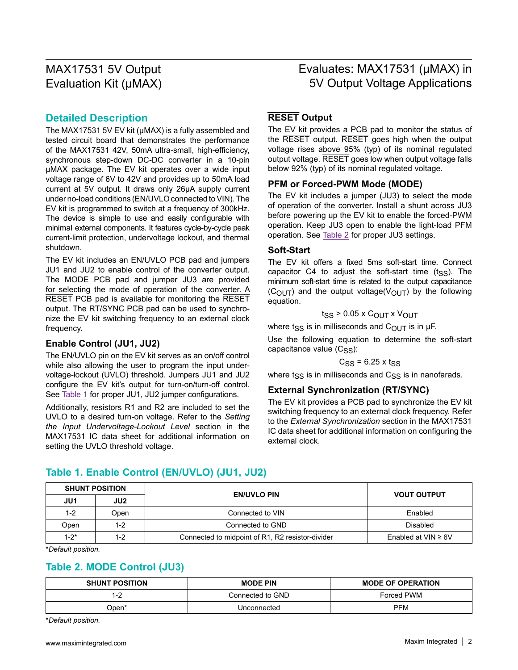## Evaluates: MAX17531 (µMAX) in 5V Output Voltage Applications

### **Detailed Description**

The MAX17531 5V EV kit (µMAX) is a fully assembled and tested circuit board that demonstrates the performance of the MAX17531 42V, 50mA ultra-small, high-efficiency, synchronous step-down DC-DC converter in a 10-pin µMAX package. The EV kit operates over a wide input voltage range of 6V to 42V and provides up to 50mA load current at 5V output. It draws only 26µA supply current under no-load conditions (EN/UVLO connected to VIN). The EV kit is programmed to switch at a frequency of 300kHz. The device is simple to use and easily configurable with minimal external components. It features cycle-by-cycle peak current-limit protection, undervoltage lockout, and thermal shutdown.

The EV kit includes an EN/UVLO PCB pad and jumpers JU1 and JU2 to enable control of the converter output. The MODE PCB pad and jumper JU3 are provided for selecting the mode of operation of the converter. A RESET PCB pad is available for monitoring the RESET output. The RT/SYNC PCB pad can be used to synchronize the EV kit switching frequency to an external clock frequency.

### **Enable Control (JU1, JU2)**

The EN/UVLO pin on the EV kit serves as an on/off control while also allowing the user to program the input undervoltage-lockout (UVLO) threshold. Jumpers JU1 and JU2 configure the EV kit's output for turn-on/turn-off control. See [Table 1](#page-1-0) for proper JU1, JU2 jumper configurations.

Additionally, resistors R1 and R2 are included to set the UVLO to a desired turn-on voltage. Refer to the *Setting the Input Undervoltage-Lockout Level* section in the MAX17531 IC data sheet for additional information on setting the UVLO threshold voltage.

### **RESET Output**

The EV kit provides a PCB pad to monitor the status of the RESET output. RESET goes high when the output voltage rises above 95% (typ) of its nominal regulated output voltage. RESET goes low when output voltage falls below 92% (typ) of its nominal regulated voltage.

### **PFM or Forced-PWM Mode (MODE)**

The EV kit includes a jumper (JU3) to select the mode of operation of the converter. Install a shunt across JU3 before powering up the EV kit to enable the forced-PWM operation. Keep JU3 open to enable the light-load PFM operation. See [Table 2](#page-1-1) for proper JU3 settings.

#### **Soft-Start**

The EV kit offers a fixed 5ms soft-start time. Connect capacitor C4 to adjust the soft-start time  $(t_{\rm SS})$ . The minimum soft-start time is related to the output capacitance  $(C_{\text{OUT}})$  and the output voltage( $V_{\text{OUT}}$ ) by the following equation.

$$
t_{SS} > 0.05 \times C_{OUT} \times V_{OUT}
$$

where t<sub>SS</sub> is in milliseconds and C<sub>OUT</sub> is in  $\mu$ F.

Use the following equation to determine the soft-start capacitance value  $(C_{SS})$ :

#### $C<sub>SS</sub> = 6.25$  x tss

where  $t_{SS}$  is in milliseconds and  $C_{SS}$  is in nanofarads.

### **External Synchronization (RT/SYNC)**

The EV kit provides a PCB pad to synchronize the EV kit switching frequency to an external clock frequency. Refer to the *External Synchronization* section in the MAX17531 IC data sheet for additional information on configuring the external clock.

#### **SHUNT POSITION EN/UVLO PIN VOUT OUTPUT JU1 JU2** 1-2 Open Next Connected to VIN Connected to VIN Connected to VIN Connected to VIN Open 1-2 Connected to GND Disabled 1-2<sup>\*</sup> | 1-2 | Connected to midpoint of R1, R2 resistor-divider F Enabled at VIN ≥ 6V

<span id="page-1-0"></span>**Table 1. Enable Control (EN/UVLO) (JU1, JU2)**

\**Default position.*

### <span id="page-1-1"></span>**Table 2. MODE Control (JU3)**

| <b>SHUNT POSITION</b> | <b>MODE PIN</b>  | <b>MODE OF OPERATION</b> |  |
|-----------------------|------------------|--------------------------|--|
| 1-2                   | Connected to GND | Forced PWM               |  |
| ⊃pen*                 | Unconnected      | <b>PFM</b>               |  |

\**Default position.*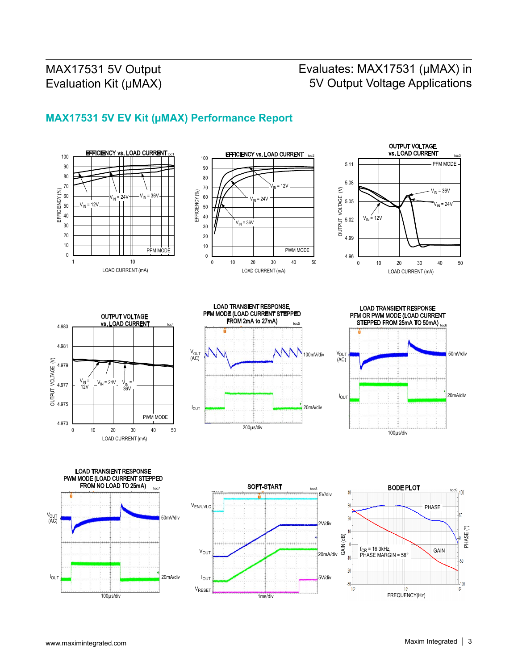# Evaluates: MAX17531 (µMAX) in 5V Output Voltage Applications

## **MAX17531 5V EV Kit (µMAX) Performance Report**

















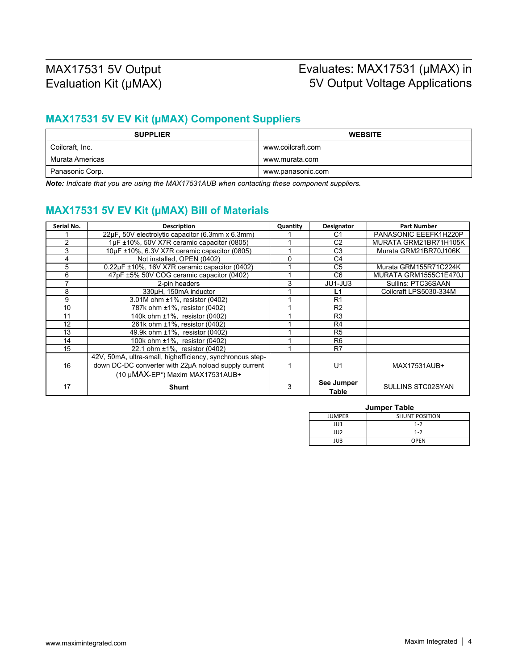## Evaluates: MAX17531 (µMAX) in 5V Output Voltage Applications

## **MAX17531 5V EV Kit (µMAX) Component Suppliers**

| <b>SUPPLIER</b> | <b>WEBSITE</b>    |
|-----------------|-------------------|
| Coilcraft, Inc. | www.coilcraft.com |
| Murata Americas | www.murata.com    |
| Panasonic Corp. | www.panasonic.com |

*Note: Indicate that you are using the MAX17531AUB when contacting these component suppliers.*

## **MAX17531 5V EV Kit (µMAX) Bill of Materials**

| Serial No.    | <b>Description</b>                                        | Quantity | Designator          | <b>Part Number</b>     |
|---------------|-----------------------------------------------------------|----------|---------------------|------------------------|
|               | 22µF, 50V electrolytic capacitor (6.3mm x 6.3mm)          |          | C1                  | PANASONIC EEEFK1H220P  |
| $\mathcal{P}$ | 1µF ±10%, 50V X7R ceramic capacitor (0805)                |          | C <sub>2</sub>      | MURATA GRM21BR71H105K  |
| 3             | 10µF ±10%, 6.3V X7R ceramic capacitor (0805)              |          | C3                  | Murata GRM21BR70J106K  |
| 4             | Not installed, OPEN (0402)                                | ი        | C4                  |                        |
| 5             | 0.22µF ±10%, 16V X7R ceramic capacitor (0402)             |          | C <sub>5</sub>      | Murata GRM155R71C224K  |
| 6             | 47pF ±5% 50V COG ceramic capacitor (0402)                 |          | C <sub>6</sub>      | MURATA GRM1555C1E470J  |
| ⇁             | 2-pin headers                                             | 3        | JU1-JU3             | Sullins: PTC36SAAN     |
| 8             | 330µH, 150mA inductor                                     |          | L1                  | Coilcraft LPS5030-334M |
| 9             | 3.01M ohm ±1%, resistor (0402)                            |          | R <sub>1</sub>      |                        |
| 10            | 787k ohm ±1%, resistor (0402)                             |          | R <sub>2</sub>      |                        |
| 11            | 140k ohm ±1%, resistor (0402)                             |          | R <sub>3</sub>      |                        |
| 12            | 261k ohm ±1%, resistor (0402)                             |          | R4                  |                        |
| 13            | 49.9k ohm ±1%, resistor (0402)                            |          | R <sub>5</sub>      |                        |
| 14            | 100k ohm ±1%, resistor (0402)                             |          | R <sub>6</sub>      |                        |
| 15            | 22.1 ohm ±1%, resistor (0402)                             |          | R7                  |                        |
|               | 42V, 50mA, ultra-small, highefficiency, synchronous step- |          |                     |                        |
| 16            | down DC-DC converter with 22µA noload supply current      |          | U <sub>1</sub>      | MAX17531AUB+           |
|               | (10 µMAX-EP*) Maxim MAX17531AUB+                          |          |                     |                        |
| 17            | <b>Shunt</b>                                              | 3        | See Jumper<br>Table | SULLINS STC02SYAN      |

#### **Jumper Table**

| <b>JUMPER</b> | <b>SHUNT POSITION</b> |  |
|---------------|-----------------------|--|
| JU1           | $1 - 2$               |  |
| JU2           | $1 - 2$               |  |
| JU3           | <b>OPEN</b>           |  |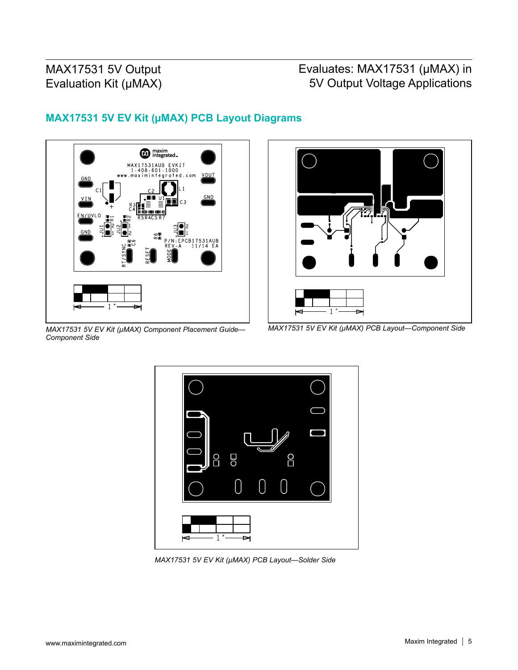# Evaluates: MAX17531 (µMAX) in 5V Output Voltage Applications



## **MAX17531 5V EV Kit (µMAX) PCB Layout Diagrams**





*MAX17531 5V EV Kit (µMAX) PCB Layout—Component Side*



*MAX17531 5V EV Kit (µMAX) PCB Layout—Solder Side*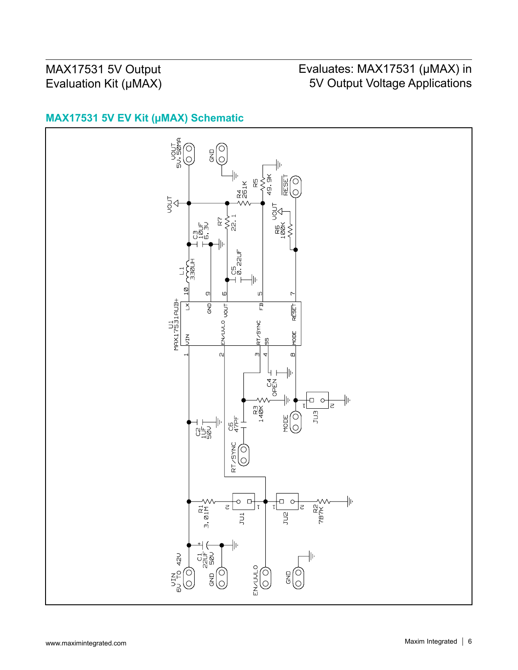# Evaluates: MAX17531 (µMAX) in 5V Output Voltage Applications

## **MAX17531 5V EV Kit (µMAX) Schematic**

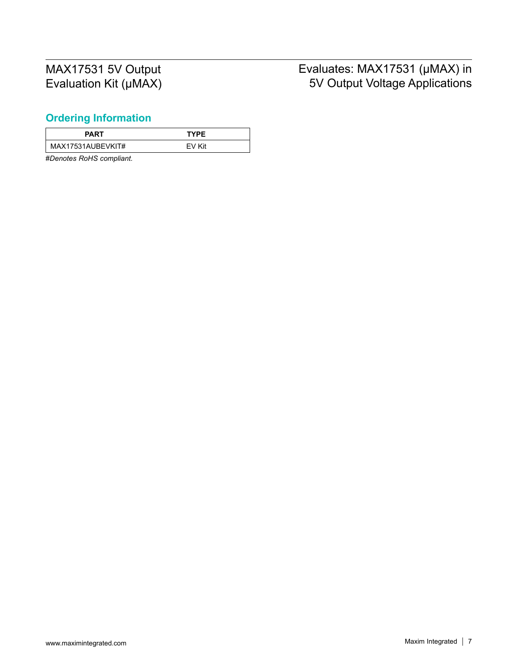# Evaluates: MAX17531 (µMAX) in 5V Output Voltage Applications

## <span id="page-6-0"></span>**Ordering Information**

| <b>PART</b>       | <b>TYPE</b> |
|-------------------|-------------|
| MAX17531AUBEVKIT# | EV Kit      |

#*Denotes RoHS compliant.*